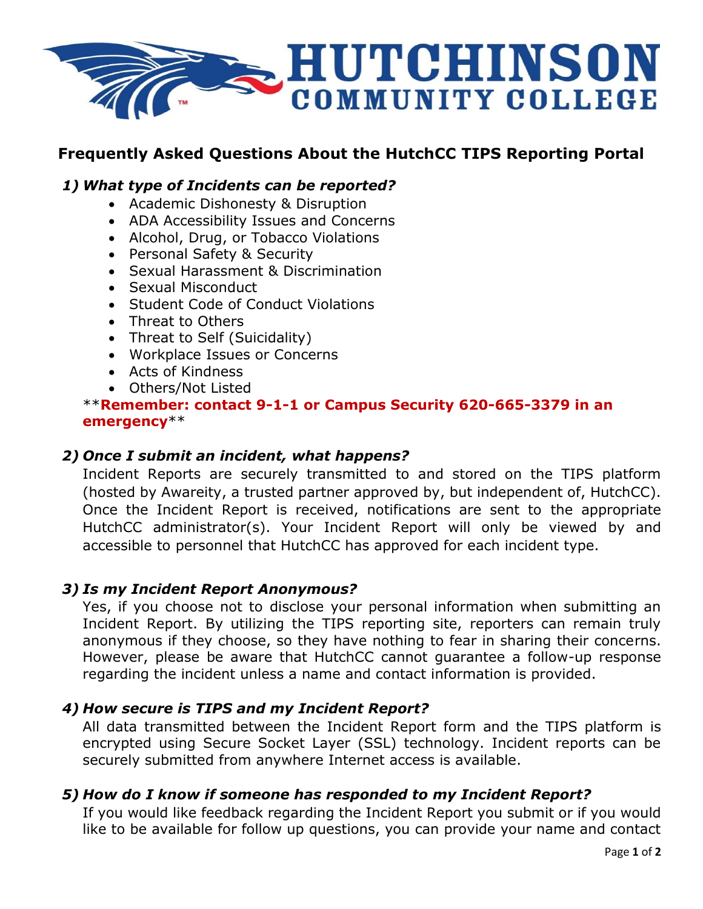

## **Frequently Asked Questions About the HutchCC TIPS Reporting Portal**

#### *1) What type of Incidents can be reported?*

- Academic Dishonesty & Disruption
- ADA Accessibility Issues and Concerns
- Alcohol, Drug, or Tobacco Violations
- Personal Safety & Security
- Sexual Harassment & Discrimination
- Sexual Misconduct
- Student Code of Conduct Violations
- Threat to Others
- Threat to Self (Suicidality)
- Workplace Issues or Concerns
- Acts of Kindness
- Others/Not Listed

#### \*\***Remember: contact 9-1-1 or Campus Security 620-665-3379 in an emergency**\*\*

#### *2) Once I submit an incident, what happens?*

Incident Reports are securely transmitted to and stored on the TIPS platform (hosted by Awareity, a trusted partner approved by, but independent of, HutchCC). Once the Incident Report is received, notifications are sent to the appropriate HutchCC administrator(s). Your Incident Report will only be viewed by and accessible to personnel that HutchCC has approved for each incident type.

#### *3) Is my Incident Report Anonymous?*

Yes, if you choose not to disclose your personal information when submitting an Incident Report. By utilizing the TIPS reporting site, reporters can remain truly anonymous if they choose, so they have nothing to fear in sharing their concerns. However, please be aware that HutchCC cannot guarantee a follow-up response regarding the incident unless a name and contact information is provided.

#### *4) How secure is TIPS and my Incident Report?*

All data transmitted between the Incident Report form and the TIPS platform is encrypted using Secure Socket Layer (SSL) technology. Incident reports can be securely submitted from anywhere Internet access is available.

#### *5) How do I know if someone has responded to my Incident Report?*

If you would like feedback regarding the Incident Report you submit or if you would like to be available for follow up questions, you can provide your name and contact